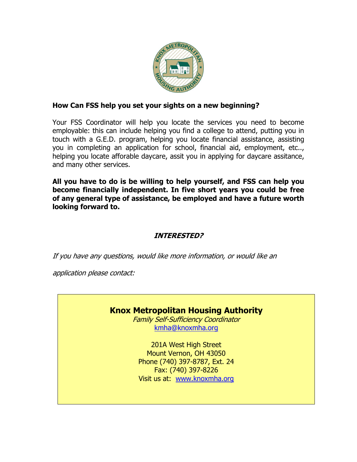

#### **How Can FSS help you set your sights on a new beginning?**

Your FSS Coordinator will help you locate the services you need to become employable: this can include helping you find a college to attend, putting you in touch with a G.E.D. program, helping you locate financial assistance, assisting you in completing an application for school, financial aid, employment, etc.., helping you locate afforable daycare, assit you in applying for daycare assitance, and many other services.

**All you have to do is be willing to help yourself, and FSS can help you become financially independent. In five short years you could be free of any general type of assistance, be employed and have a future worth looking forward to.**

### **INTERESTED?**

If you have any questions, would like more information, or would like an

application please contact:

# **Knox Metropolitan Housing Authority**

Family Self-Sufficiency Coordinator [kmha@knoxmha.org](mailto:kmha@knoxmha.org)

201A West High Street Mount Vernon, OH 43050 Phone (740) 397-8787, Ext. 24 Fax: (740) 397-8226 Visit us at: [www.knoxmha.org](http://www.knoxmha.org/)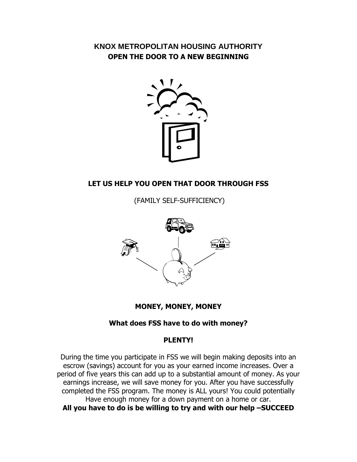# **KNOX METROPOLITAN HOUSING AUTHORITY OPEN THE DOOR TO A NEW BEGINNING**



# **LET US HELP YOU OPEN THAT DOOR THROUGH FSS**

(FAMILY SELF-SUFFICIENCY)



### **MONEY, MONEY, MONEY**

### **What does FSS have to do with money?**

#### **PLENTY!**

During the time you participate in FSS we will begin making deposits into an escrow (savings) account for you as your earned income increases. Over a period of five years this can add up to a substantial amount of money. As your earnings increase, we will save money for you. After you have successfully completed the FSS program. The money is ALL yours! You could potentially Have enough money for a down payment on a home or car. **All you have to do is be willing to try and with our help –SUCCEED**